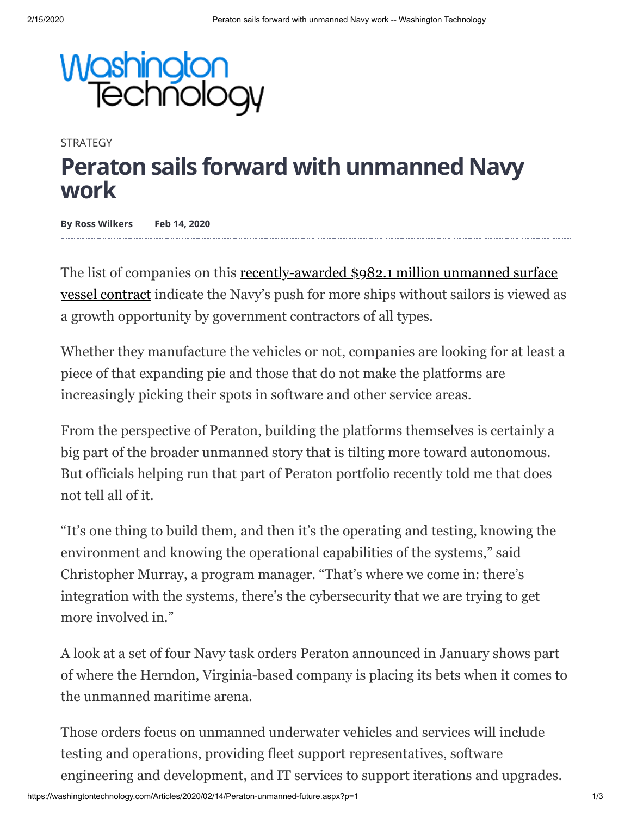

**STRATEGY** 

## **Peraton sails forward with unmanned Navy work**

**By Ross Wilkers Feb 14, 2020**

The list of companies on this recently-awarded \$982.1 million unmanned surface [vessel contract indicate the Navy's push for more ships without sailors is viewed a](https://washingtontechnology.com/articles/2020/02/06/navy-unmanned-surface-family.aspx)s a growth opportunity by government contractors of all types.

Whether they manufacture the vehicles or not, companies are looking for at least a piece of that expanding pie and those that do not make the platforms are increasingly picking their spots in software and other service areas.

From the perspective of Peraton, building the platforms themselves is certainly a big part of the broader unmanned story that is tilting more toward autonomous. But officials helping run that part of Peraton portfolio recently told me that does not tell all of it.

"It's one thing to build them, and then it's the operating and testing, knowing the environment and knowing the operational capabilities of the systems," said Christopher Murray, a program manager. "That's where we come in: there's integration with the systems, there's the cybersecurity that we are trying to get more involved in."

A look at a set of four Navy task orders Peraton announced in January shows part of where the Herndon, Virginia-based company is placing its bets when it comes to the unmanned maritime arena.

Those orders focus on unmanned underwater vehicles and services will include testing and operations, providing fleet support representatives, software engineering and development, and IT services to support iterations and upgrades.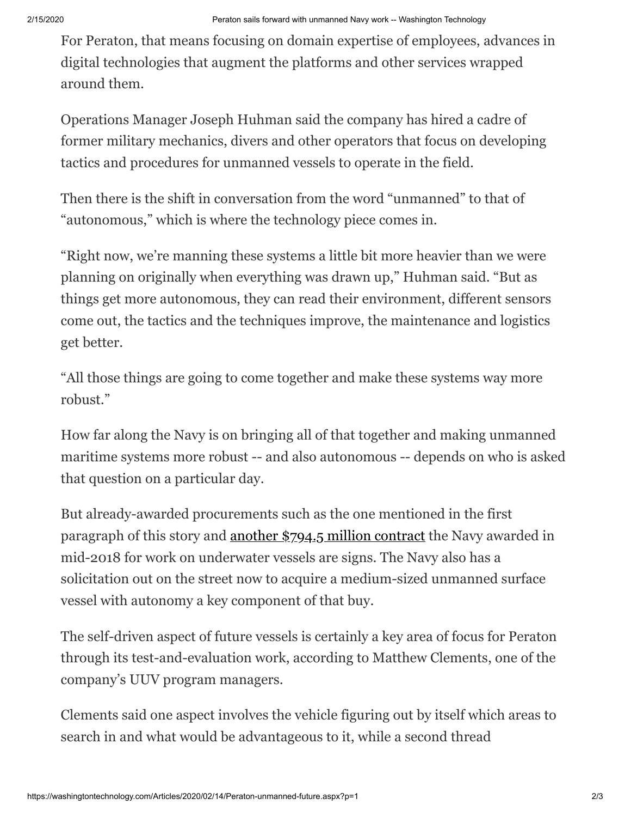For Peraton, that means focusing on domain expertise of employees, advances in digital technologies that augment the platforms and other services wrapped around them.

Operations Manager Joseph Huhman said the company has hired a cadre of former military mechanics, divers and other operators that focus on developing tactics and procedures for unmanned vessels to operate in the field.

Then there is the shift in conversation from the word "unmanned" to that of "autonomous," which is where the technology piece comes in.

"Right now, we're manning these systems a little bit more heavier than we were planning on originally when everything was drawn up," Huhman said. "But as things get more autonomous, they can read their environment, different sensors come out, the tactics and the techniques improve, the maintenance and logistics get better.

"All those things are going to come together and make these systems way more robust."

How far along the Navy is on bringing all of that together and making unmanned maritime systems more robust -- and also autonomous -- depends on who is asked that question on a particular day.

But already-awarded procurements such as the one mentioned in the first paragraph of this story and [another \\$794.5 million contract](https://washingtontechnology.com/articles/2018/07/31/navy-unmanned-family-contract.aspx) the Navy awarded in mid-2018 for work on underwater vessels are signs. The Navy also has a solicitation out on the street now to acquire a medium-sized unmanned surface vessel with autonomy a key component of that buy.

The self-driven aspect of future vessels is certainly a key area of focus for Peraton through its test-and-evaluation work, according to Matthew Clements, one of the company's UUV program managers.

Clements said one aspect involves the vehicle figuring out by itself which areas to search in and what would be advantageous to it, while a second thread